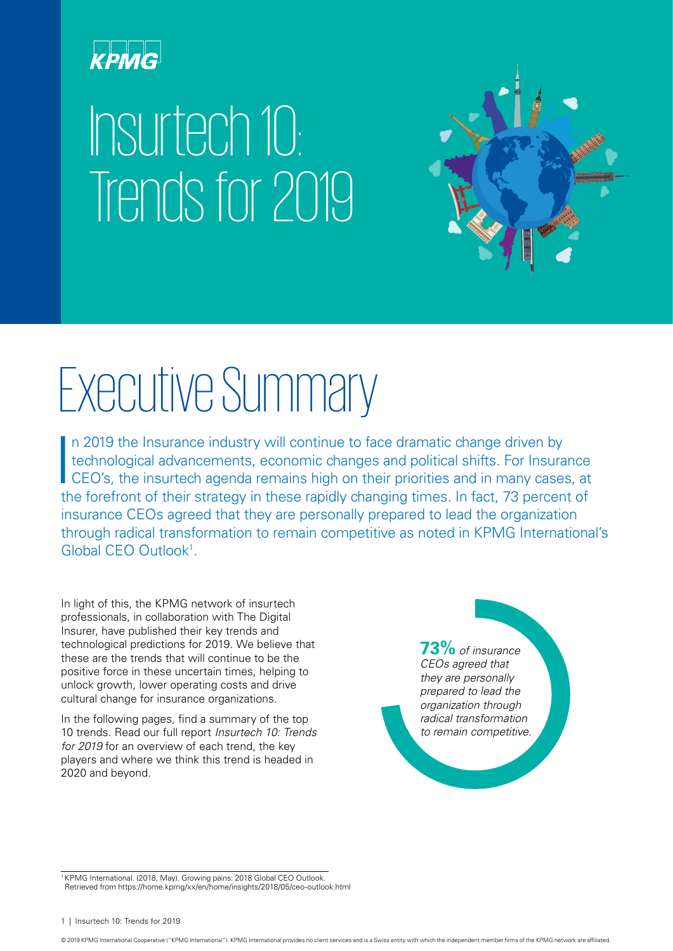

# Insurtech 10: Trends for 2019



# Executive Summary

 $\overline{\phantom{a}}$ n 2019 the Insurance industry will continue to face dramatic change driven by technological advancements, economic changes and political shifts. For Insurance CEO's, the insurtech agenda remains high on their priorities and in many cases, at the forefront of their strategy in these rapidly changing times. In fact, 73 percent of insurance CEOs agreed that they are personally prepared to lead the organization through radical transformation to remain competitive as noted in KPMG International's Global CEO Outlook<sup>1</sup>.

In light of this, the KPMG network of insurtech professionals, in collaboration with The Digital Insurer, have published their key trends and technological predictions for 2019. We believe that these are the trends that will continue to be the positive force in these uncertain times, helping to unlock growth, lower operating costs and drive cultural change for insurance organizations.

In the following pages, find a summary of the top 10 trends. Read our full report *Insurtech 10: Trends for 2019* for an overview of each trend, the key players and where we think this trend is headed in 2020 and beyond.

**73%** *of insurance CEOs agreed that they are personally prepared to lead the organization through radical transformation to remain competitive.*

<sup>1</sup> KPMG International. (2018, May). Growing pains: 2018 Global CEO Outlook. Retrieved from https://home.kpmg/xx/en/home/insights/2018/05/ceo-outlook.html

© 2019 KPMG International Cooperative ("KPMG International"). KPMG International provides no client services and is a Swiss entity with which the independent member firms of the KPMG network are affiliated.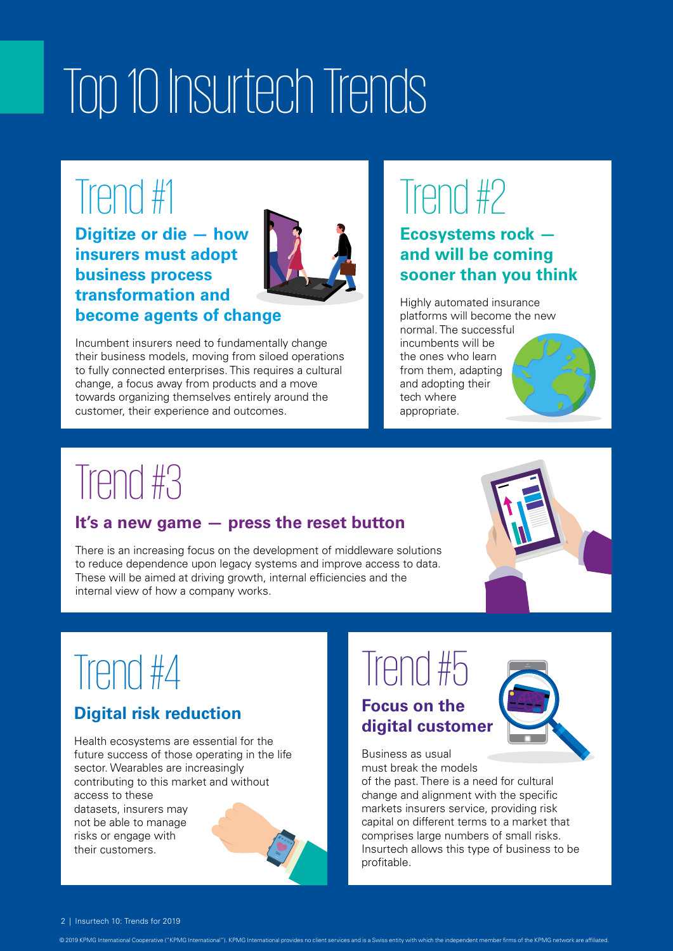# Top 10 Insurtech Trends

## Trend #1

**Digitize or die — how insurers must adopt business process transformation and become agents of change**



Incumbent insurers need to fundamentally change their business models, moving from siloed operations to fully connected enterprises. This requires a cultural change, a focus away from products and a move towards organizing themselves entirely around the

customer, their experience and outcomes.

# Trend #2

### **Ecosystems rock and will be coming sooner than you think**

Highly automated insurance platforms will become the new normal. The successful incumbents will be the ones who learn from them, adapting and adopting their tech where appropriate.

# Trend #3

### **It's a new game — press the reset button**

There is an increasing focus on the development of middleware solutions to reduce dependence upon legacy systems and improve access to data. These will be aimed at driving growth, internal efficiencies and the internal view of how a company works.



# Trend #4

### **Digital risk reduction**

Health ecosystems are essential for the future success of those operating in the life sector. Wearables are increasingly contributing to this market and without access to these datasets, insurers may not be able to manage risks or engage with their customers.



© 2019 KPMG International Cooperative ("KPMG International"). KPMG International provides no client services and is a Swiss entity with which the independent member firms of the KPMG network are affiliated.

## Trend #5 **Focus on the**

# **digital customer**

Business as usual must break the models

of the past. There is a need for cultural change and alignment with the specific markets insurers service, providing risk capital on different terms to a market that comprises large numbers of small risks. Insurtech allows this type of business to be profitable.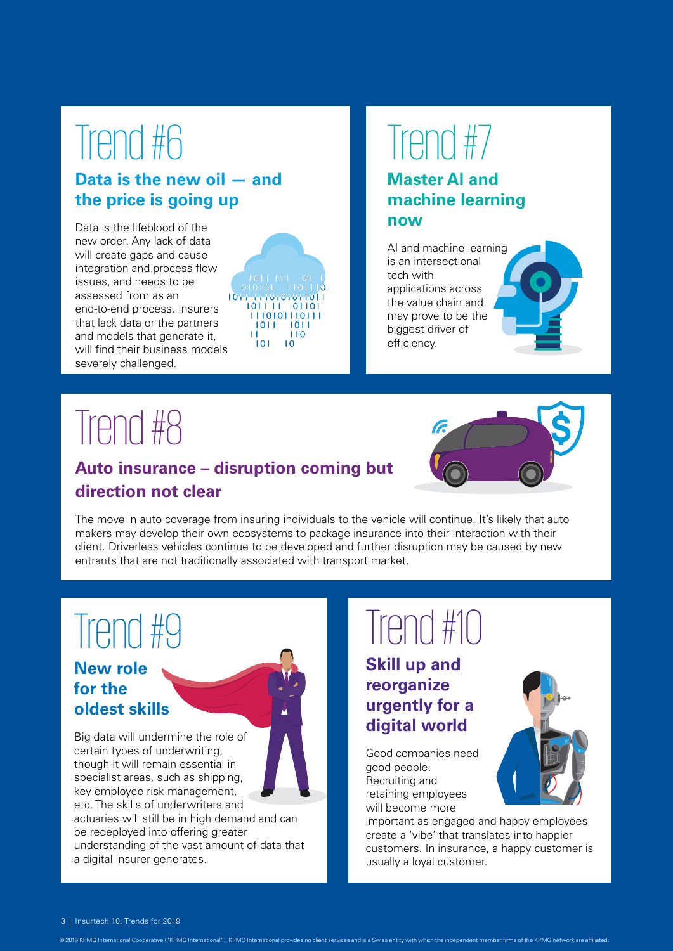# Trend #6

### **Data is the new oil — and the price is going up**

Data is the lifeblood of the new order. Any lack of data will create gaps and cause integration and process flow issues, and needs to be assessed from as an end-to-end process. Insurers that lack data or the partners and models that generate it, will find their business models severely challenged.



# Trend #7

### **Master AI and machine learning now**

AI and machine learning is an intersectional tech with applications across the value chain and may prove to be the biggest driver of efficiency.

## Trend #8

### **Auto insurance – disruption coming but direction not clear**

The move in auto coverage from insuring individuals to the vehicle will continue. It's likely that auto makers may develop their own ecosystems to package insurance into their interaction with their client. Driverless vehicles continue to be developed and further disruption may be caused by new entrants that are not traditionally associated with transport market.

# Trend #9

### **New role for the oldest skills**

Big data will undermine the role of certain types of underwriting, though it will remain essential in specialist areas, such as shipping, key employee risk management, etc. The skills of underwriters and

actuaries will still be in high demand and can be redeployed into offering greater understanding of the vast amount of data that a digital insurer generates.

# Trend #10

### **Skill up and reorganize urgently for a digital world**

Good companies need good people. Recruiting and retaining employees will become more